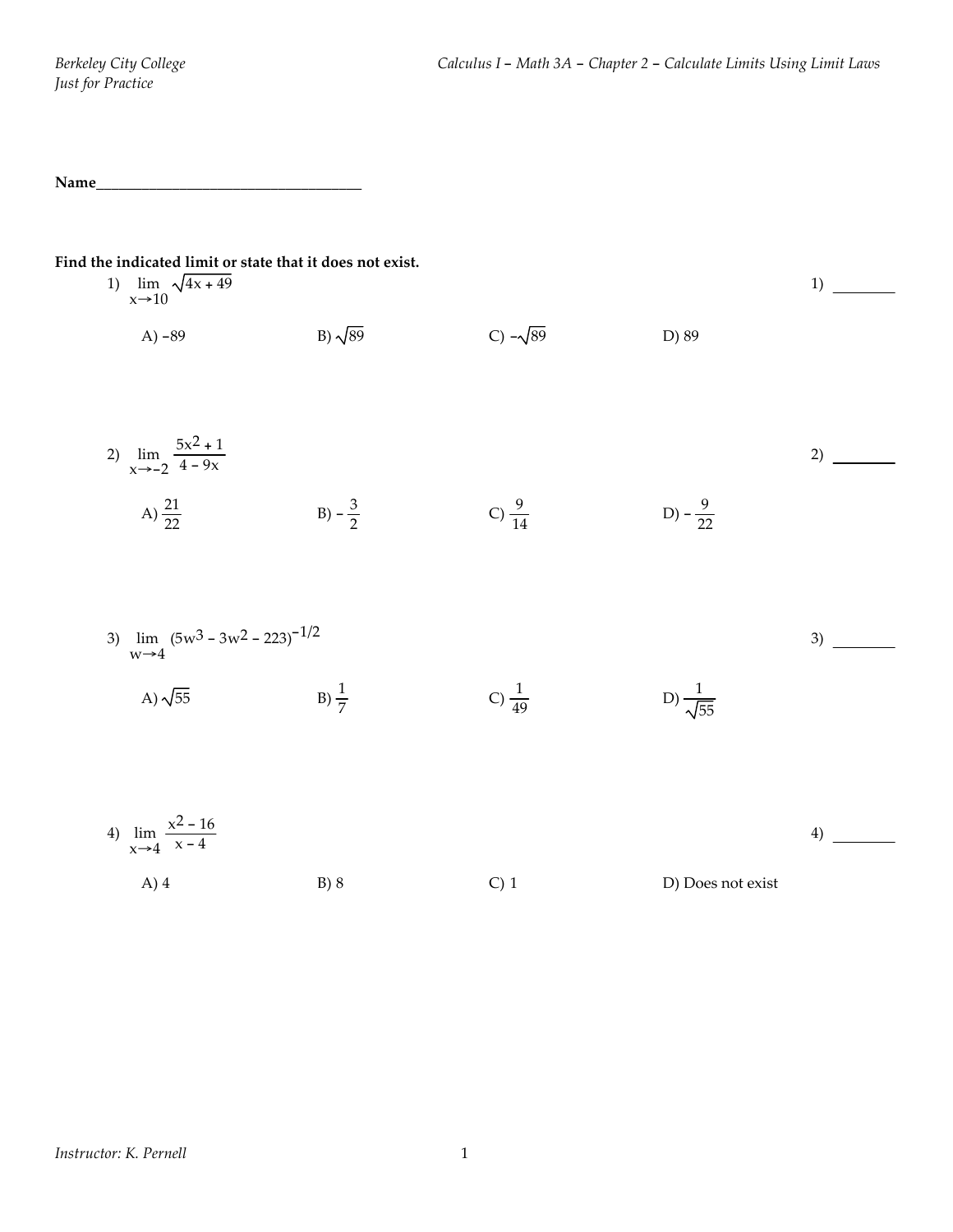**Name\_\_\_\_\_\_\_\_\_\_\_\_\_\_\_\_\_\_\_\_\_\_\_\_\_\_\_\_\_\_\_\_\_\_\_**

| Find the indicated limit or state that it does not exist.<br>1) $\lim_{x\to 10} \sqrt{4x+49}$ |                   |                   |                          | 1) |
|-----------------------------------------------------------------------------------------------|-------------------|-------------------|--------------------------|----|
| A) $-89$                                                                                      | B) $\sqrt{89}$    | C) $-\sqrt{89}$   | D) 89                    |    |
| 2) $\lim_{x \to -2} \frac{5x^2 + 1}{4 - 9x}$                                                  |                   |                   |                          | 2) |
|                                                                                               |                   |                   |                          |    |
| A) $\frac{21}{22}$                                                                            | B) $-\frac{3}{2}$ | C) $\frac{9}{14}$ | D) $-\frac{9}{22}$       |    |
|                                                                                               |                   |                   |                          |    |
| 3) $\lim_{w\to 4} (5w^3 - 3w^2 - 223)^{-1/2}$                                                 |                   |                   |                          | 3) |
| A) $\sqrt{55}$                                                                                | $B) \frac{1}{7}$  | C) $\frac{1}{49}$ | D) $\frac{1}{\sqrt{55}}$ |    |
|                                                                                               |                   |                   |                          |    |
| 4) $\lim_{x \to 4} \frac{x^2 - 16}{x - 4}$                                                    |                   |                   |                          | 4) |
| $A)$ 4                                                                                        | B) 8              | $C)$ 1            | D) Does not exist        |    |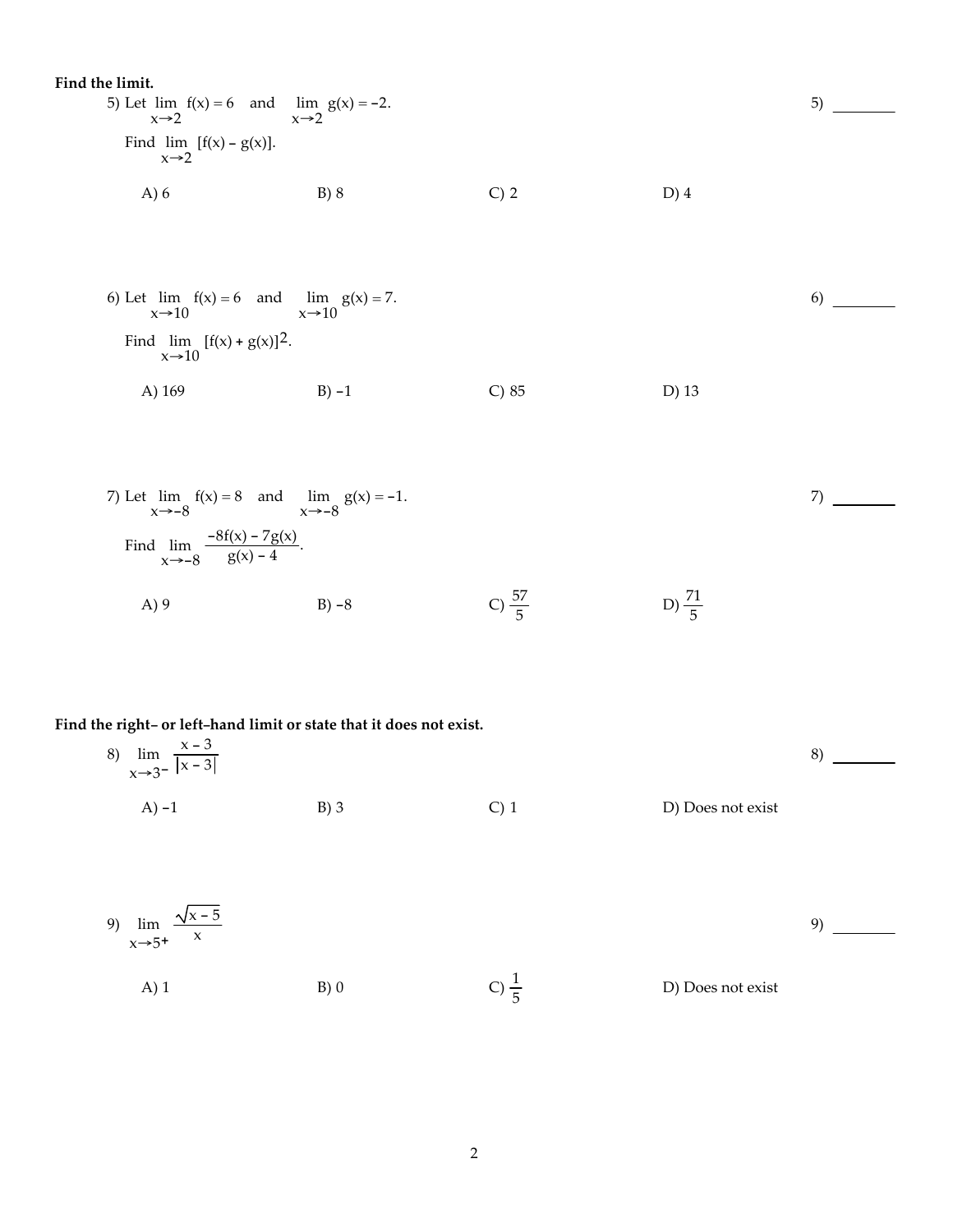Find the limit.  
\n5) Let 
$$
\lim_{x \to 2} f(x) = 6
$$
 and  $\lim_{x \to 2} g(x) = -2$ .  
\nFind  $\lim_{x \to 2} [f(x) - g(x)]$ .  
\nA) 6  
\nB) 8  
\nC) 2  
\nD) 4

6)

6) Let 
$$
\lim_{x \to 10} f(x) = 6
$$
 and  $\lim_{x \to 10} g(x) = 7$ .  
\nFind  $\lim_{x \to 10} [f(x) + g(x)]^2$ .  
\nA) 169  
\nB) -1  
\nC) 85  
\nD) 13

7) Let 
$$
\lim_{x \to -8} f(x) = 8
$$
 and  $\lim_{x \to -8} g(x) = -1$ .  
\nFind  $\lim_{x \to -8} \frac{-8f(x) - 7g(x)}{g(x) - 4}$ .  
\nA) 9  
\nB) -8  
\nC)  $\frac{57}{5}$   
\nD)  $\frac{71}{5}$ 

## **Find the right- or left-hand limit or state that it does not exist.**

| 8) $\lim_{x \to 3^{-}} \frac{x-3}{ x-3 }$ |        |    |                   |
|-------------------------------------------|--------|----|-------------------|
| $(A) -1$                                  | $B)$ 3 | U) | D) Does not exist |

9) 
$$
\lim_{x \to 5^{+}} \frac{\sqrt{x - 5}}{x}
$$
  
\nA) 1  
\nB) 0  
\nC)  $\frac{1}{5}$   
\nD) Does not exist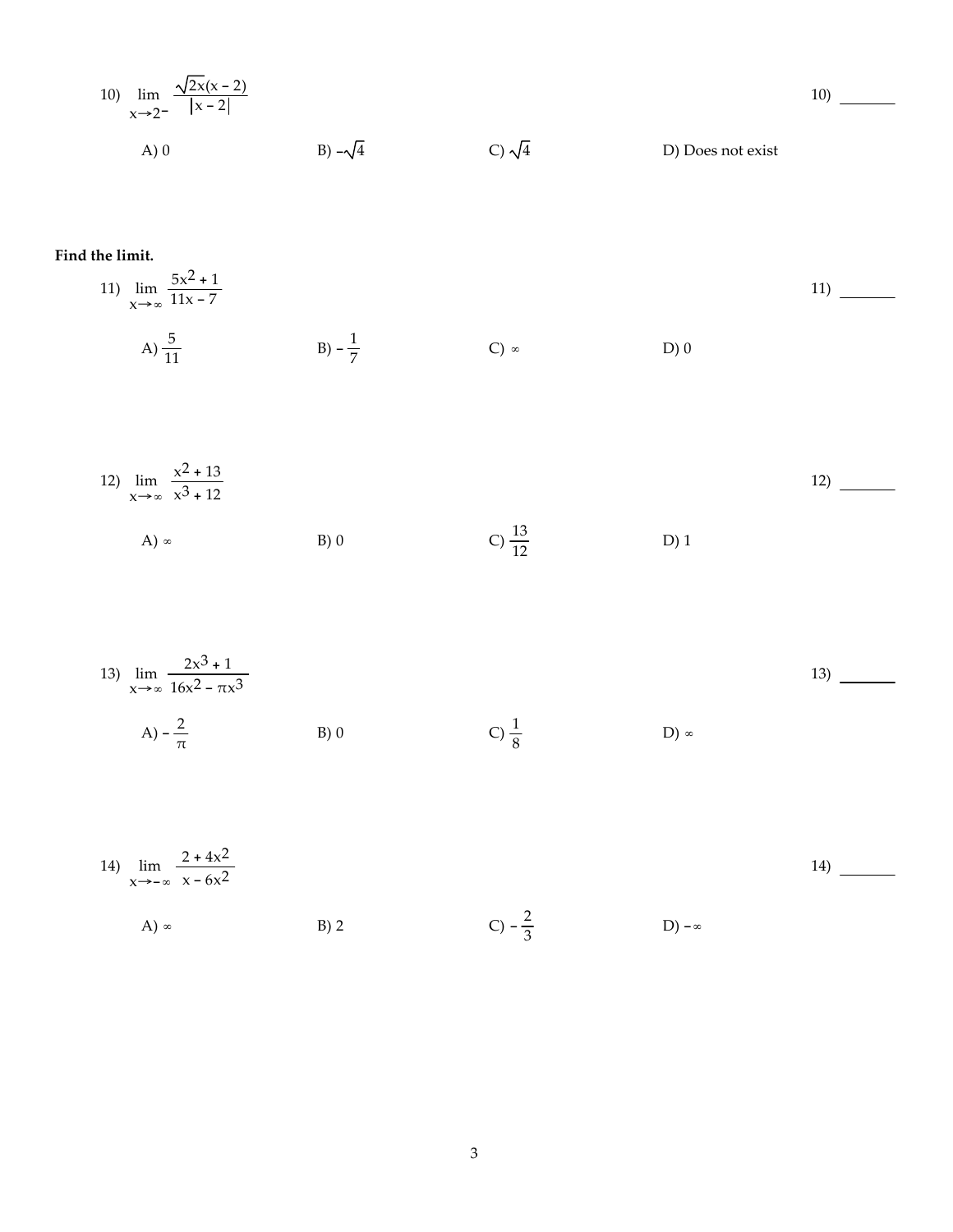10) 
$$
\lim_{x \to 2^{-}} \frac{\sqrt{2x(x-2)}}{|x-2|}
$$
  
A) 0  
B)  $-\sqrt{4}$   
C)  $\sqrt{4}$   
D) Does not exist

**Find the limit.**

11) 
$$
\lim_{x \to \infty} \frac{5x^2 + 1}{11x - 7}
$$
  
A)  $\frac{5}{11}$   
B)  $-\frac{1}{7}$   
C)  $\infty$   
D) 0

12) 
$$
\lim_{x \to \infty} \frac{x^2 + 13}{x^3 + 12}
$$
  
A)  $\infty$  B) 0  
C)  $\frac{13}{12}$  D) 1

13) 
$$
\lim_{x \to \infty} \frac{2x^3 + 1}{16x^2 - \pi x^3}
$$
  
A)  $-\frac{2}{\pi}$  \tB) 0 \tC)  $\frac{1}{8}$  \tD)  $\infty$ 

14) 
$$
\lim_{x \to -\infty} \frac{2 + 4x^2}{x - 6x^2}
$$
  
A)  $\infty$  B) 2  
C)  $-\frac{2}{3}$  D)  $-\infty$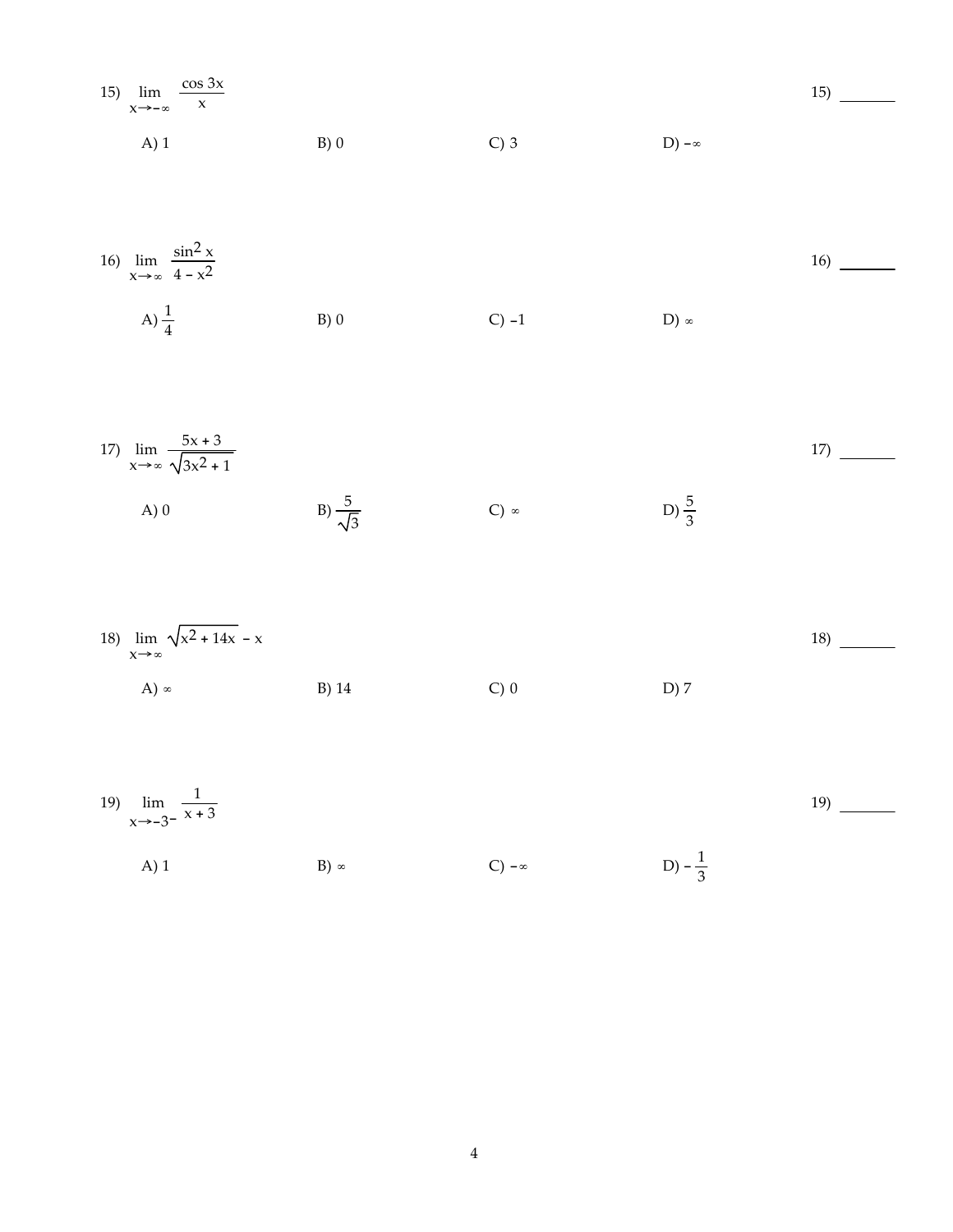| 15) $\lim_{x \to -\infty} \frac{\cos 3x}{x}$ |      |         |              | 15) |
|----------------------------------------------|------|---------|--------------|-----|
| $A)$ 1                                       | B(0) | $C$ ) 3 | D) $-\infty$ |     |

16) 
$$
\lim_{x \to \infty} \frac{\sin^2 x}{4 - x^2}
$$
  
A)  $\frac{1}{4}$   
B) 0  
C) -1  
D)  $\infty$ 

17) 
$$
\lim_{x \to \infty} \frac{5x + 3}{\sqrt{3x^2 + 1}}
$$
 17) \_\_\_\_\_\_  
A) 0 B)  $\frac{5}{\sqrt{3}}$  C)  $\infty$  D)  $\frac{5}{3}$ 

18) 
$$
\lim_{x \to \infty} \sqrt{x^2 + 14x} - x
$$
  
\nA)  $\infty$   
\nB) 14  
\nC) 0  
\nD) 7  
\n18)

19) 
$$
\lim_{x \to -3^{-}} \frac{1}{x+3}
$$

A) 1  
B) 
$$
\infty
$$
  
C)  $-\infty$   
D)  $-\frac{1}{3}$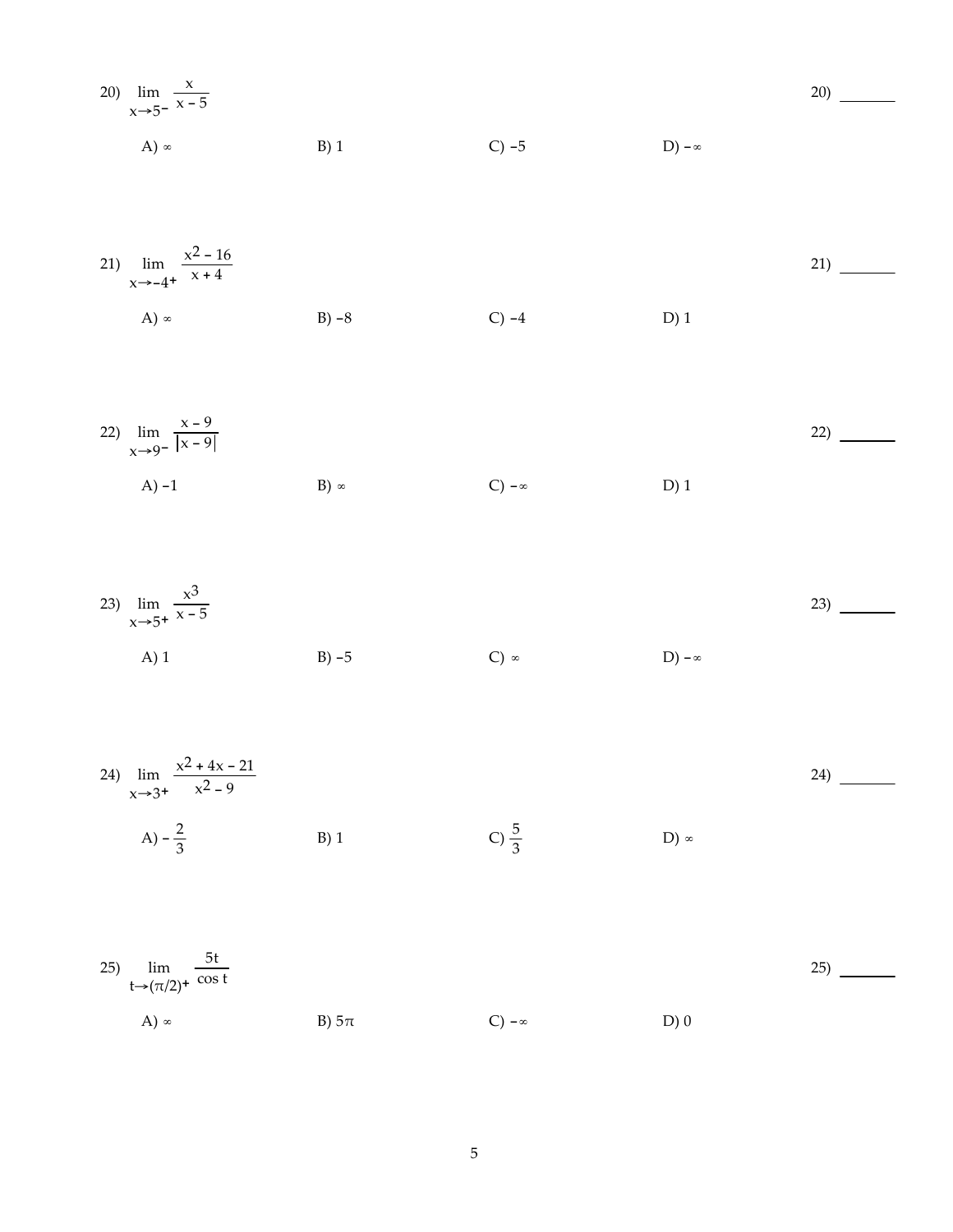20) 
$$
\lim_{x \to 5^{-}} \frac{x}{x - 5}
$$
  
\nA)  $\infty$  \tB) 1 \tC) -5 \tD)  $-\infty$ 

21) 
$$
\lim_{x \to -4^{+}} \frac{x^2 - 16}{x + 4}
$$
  
A)  $\infty$  B) -8 C) -4 D) 1

22) 
$$
\lim_{x \to 9^{-}} \frac{x - 9}{|x - 9|}
$$
  
A) -1  
B)  $\infty$   
C)  $-\infty$   
D) 1

23) 
$$
\lim_{x \to 5^{+}} \frac{x^{3}}{x - 5}
$$
  
A) 1  
B) -5  
C)  $\infty$   
D)  $-\infty$ 

24) 
$$
\lim_{x \to 3^{+}} \frac{x^{2} + 4x - 21}{x^{2} - 9}
$$
  
A)  $-\frac{2}{3}$  \t B) 1 \t C)  $\frac{5}{3}$  \t D)  $\infty$ 

25) lim  $t\rightarrow (\pi/2)^+$ 5t cos t A) ∞ B)  $5\pi$  C) -∞ D) 0 25)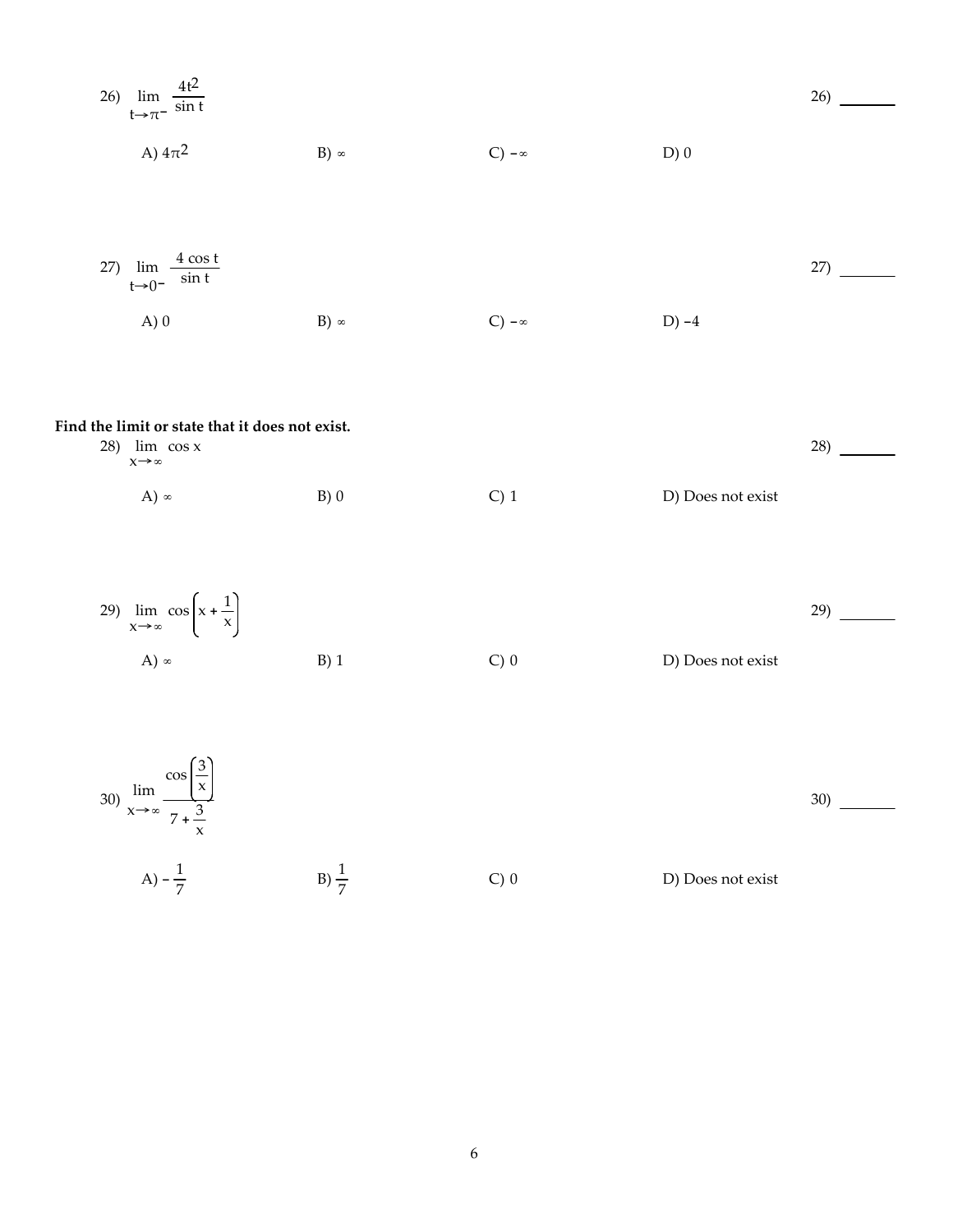26) 
$$
\lim_{t \to \pi^{-}} \frac{4t^2}{\sin t}
$$
  
\nA)  $4\pi^2$   
\nB)  $\infty$   
\nC)  $-\infty$   
\nD) 0

27) 
$$
\lim_{t \to 0^-} \frac{4 \cos t}{\sin t}
$$
 27) 27  
A) 0   
B)  $\infty$    
C)  $-\infty$    
D)  $-4$ 

## **Find the limit or state that it does not exist.**

| $28$ ) $\lim_{x \to 0} \cos x$<br>$x \rightarrow \infty$ |     |                  |                   | 28) |
|----------------------------------------------------------|-----|------------------|-------------------|-----|
| A) $\infty$                                              | B)0 | C <sub>0</sub> 1 | D) Does not exist |     |



30) 
$$
\lim_{x \to \infty} \frac{\cos(\frac{3}{x})}{7 + \frac{3}{x}}
$$
  
A)  $-\frac{1}{7}$  \tB)  $\frac{1}{7}$  \tC) 0 \tD) Does not exist

30)

6